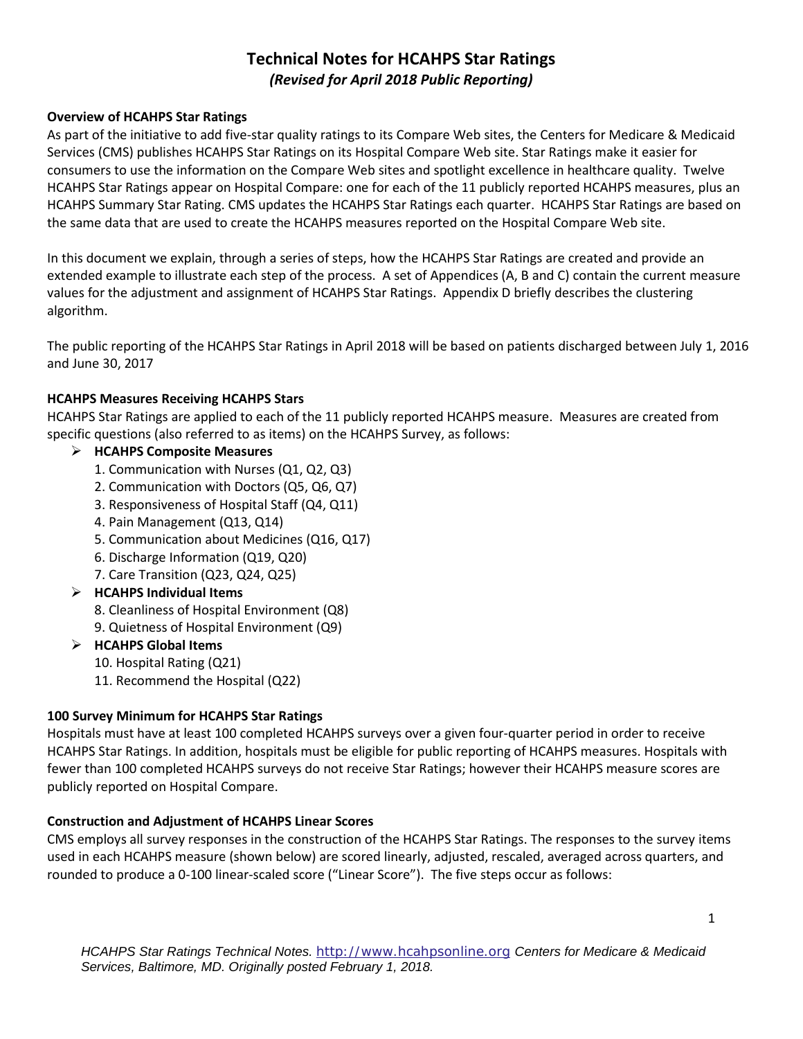# **Technical Notes for HCAHPS Star Ratings** *(Revised for April 2018 Public Reporting)*

### **Overview of HCAHPS Star Ratings**

As part of the initiative to add five-star quality ratings to its Compare Web sites, the Centers for Medicare & Medicaid Services (CMS) publishes HCAHPS Star Ratings on its Hospital Compare Web site. Star Ratings make it easier for consumers to use the information on the Compare Web sites and spotlight excellence in healthcare quality. Twelve HCAHPS Star Ratings appear on Hospital Compare: one for each of the 11 publicly reported HCAHPS measures, plus an HCAHPS Summary Star Rating. CMS updates the HCAHPS Star Ratings each quarter. HCAHPS Star Ratings are based on the same data that are used to create the HCAHPS measures reported on the Hospital Compare Web site.

In this document we explain, through a series of steps, how the HCAHPS Star Ratings are created and provide an extended example to illustrate each step of the process. A set of Appendices (A, B and C) contain the current measure values for the adjustment and assignment of HCAHPS Star Ratings. Appendix D briefly describes the clustering algorithm.

The public reporting of the HCAHPS Star Ratings in April 2018 will be based on patients discharged between July 1, 2016 and June 30, 2017

### **HCAHPS Measures Receiving HCAHPS Stars**

HCAHPS Star Ratings are applied to each of the 11 publicly reported HCAHPS measure. Measures are created from specific questions (also referred to as items) on the HCAHPS Survey, as follows:

### **HCAHPS Composite Measures**

- 1. Communication with Nurses (Q1, Q2, Q3)
- 2. Communication with Doctors (Q5, Q6, Q7)
- 3. Responsiveness of Hospital Staff (Q4, Q11)
- 4. Pain Management (Q13, Q14)
- 5. Communication about Medicines (Q16, Q17)
- 6. Discharge Information (Q19, Q20)
- 7. Care Transition (Q23, Q24, Q25)

### **HCAHPS Individual Items**

- 8. Cleanliness of Hospital Environment (Q8)
- 9. Quietness of Hospital Environment (Q9)

### **HCAHPS Global Items**

- 10. Hospital Rating (Q21)
- 11. Recommend the Hospital (Q22)

#### **100 Survey Minimum for HCAHPS Star Ratings**

Hospitals must have at least 100 completed HCAHPS surveys over a given four-quarter period in order to receive HCAHPS Star Ratings. In addition, hospitals must be eligible for public reporting of HCAHPS measures. Hospitals with fewer than 100 completed HCAHPS surveys do not receive Star Ratings; however their HCAHPS measure scores are publicly reported on Hospital Compare.

### **Construction and Adjustment of HCAHPS Linear Scores**

CMS employs all survey responses in the construction of the HCAHPS Star Ratings. The responses to the survey items used in each HCAHPS measure (shown below) are scored linearly, adjusted, rescaled, averaged across quarters, and rounded to produce a 0-100 linear-scaled score ("Linear Score"). The five steps occur as follows: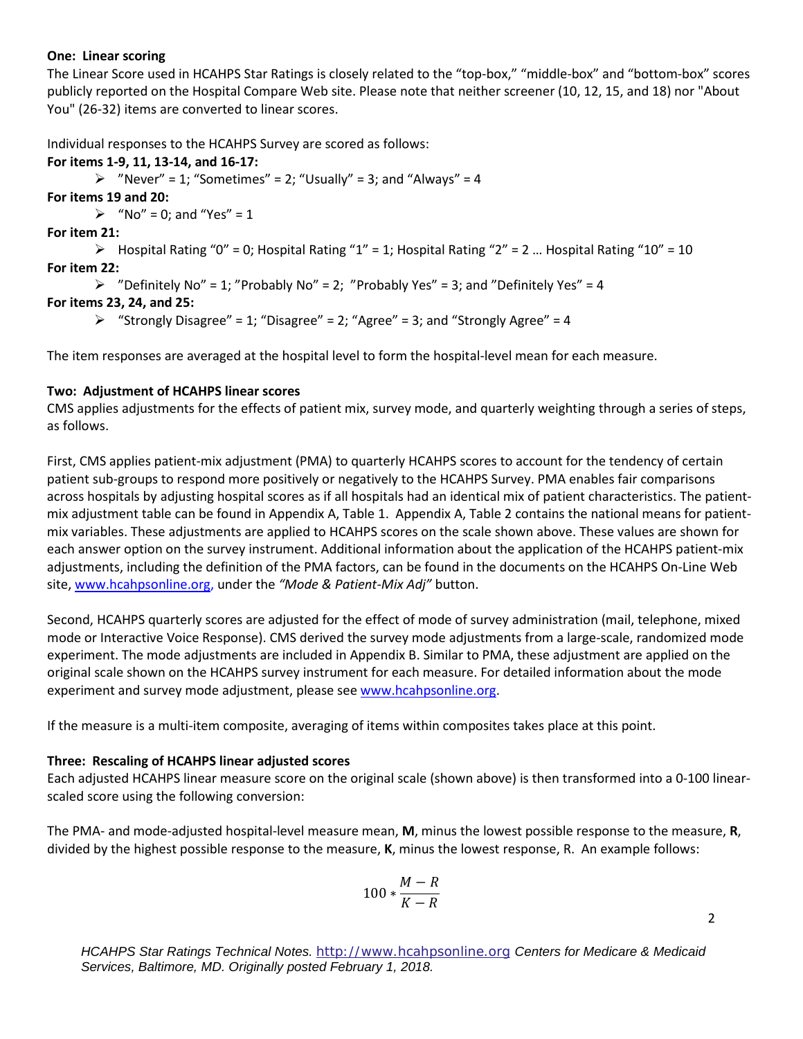#### **One: Linear scoring**

The Linear Score used in HCAHPS Star Ratings is closely related to the "top-box," "middle-box" and "bottom-box" scores publicly reported on the Hospital Compare Web site. Please note that neither screener (10, 12, 15, and 18) nor "About You" (26-32) items are converted to linear scores.

Individual responses to the HCAHPS Survey are scored as follows:

### **For items 1-9, 11, 13-14, and 16-17:**

 $\triangleright$  "Never" = 1; "Sometimes" = 2; "Usually" = 3; and "Always" = 4

**For items 19 and 20:** 

 $\triangleright$  "No" = 0; and "Yes" = 1

**For item 21:**

 $\triangleright$  Hospital Rating "0" = 0; Hospital Rating "1" = 1; Hospital Rating "2" = 2 ... Hospital Rating "10" = 10 **For item 22:**

```
\triangleright "Definitely No" = 1; "Probably No" = 2; "Probably Yes" = 3; and "Definitely Yes" = 4
```
### **For items 23, 24, and 25:**

 $\triangleright$  "Strongly Disagree" = 1; "Disagree" = 2; "Agree" = 3; and "Strongly Agree" = 4

The item responses are averaged at the hospital level to form the hospital-level mean for each measure.

### **Two: Adjustment of HCAHPS linear scores**

CMS applies adjustments for the effects of patient mix, survey mode, and quarterly weighting through a series of steps, as follows.

First, CMS applies patient-mix adjustment (PMA) to quarterly HCAHPS scores to account for the tendency of certain patient sub-groups to respond more positively or negatively to the HCAHPS Survey. PMA enables fair comparisons across hospitals by adjusting hospital scores as if all hospitals had an identical mix of patient characteristics. The patientmix adjustment table can be found in Appendix A, Table 1. Appendix A, Table 2 contains the national means for patientmix variables. These adjustments are applied to HCAHPS scores on the scale shown above. These values are shown for each answer option on the survey instrument. Additional information about the application of the HCAHPS patient-mix adjustments, including the definition of the PMA factors, can be found in the documents on the HCAHPS On-Line Web site, [www.hcahpsonline.org,](http://www.hcahpsonline.org/) under the *"Mode & Patient-Mix Adj"* button.

Second, HCAHPS quarterly scores are adjusted for the effect of mode of survey administration (mail, telephone, mixed mode or Interactive Voice Response). CMS derived the survey mode adjustments from a large-scale, randomized mode experiment. The mode adjustments are included in Appendix B. Similar to PMA, these adjustment are applied on the original scale shown on the HCAHPS survey instrument for each measure. For detailed information about the mode experiment and survey mode adjustment, please see [www.hcahpsonline.org.](http://www.hcahpsonline.org/)

If the measure is a multi-item composite, averaging of items within composites takes place at this point.

#### **Three: Rescaling of HCAHPS linear adjusted scores**

Each adjusted HCAHPS linear measure score on the original scale (shown above) is then transformed into a 0-100 linearscaled score using the following conversion:

The PMA- and mode-adjusted hospital-level measure mean, **M**, minus the lowest possible response to the measure, **R**, divided by the highest possible response to the measure, **K**, minus the lowest response, R. An example follows:

$$
100*\frac{M-R}{K-R}
$$

2

*HCAHPS Star Ratings Technical Notes.* [http://www.hcahpsonline.org](http://www.hcahpsonline.org/) *Centers for Medicare & Medicaid Services, Baltimore, MD. Originally posted February 1, 2018.*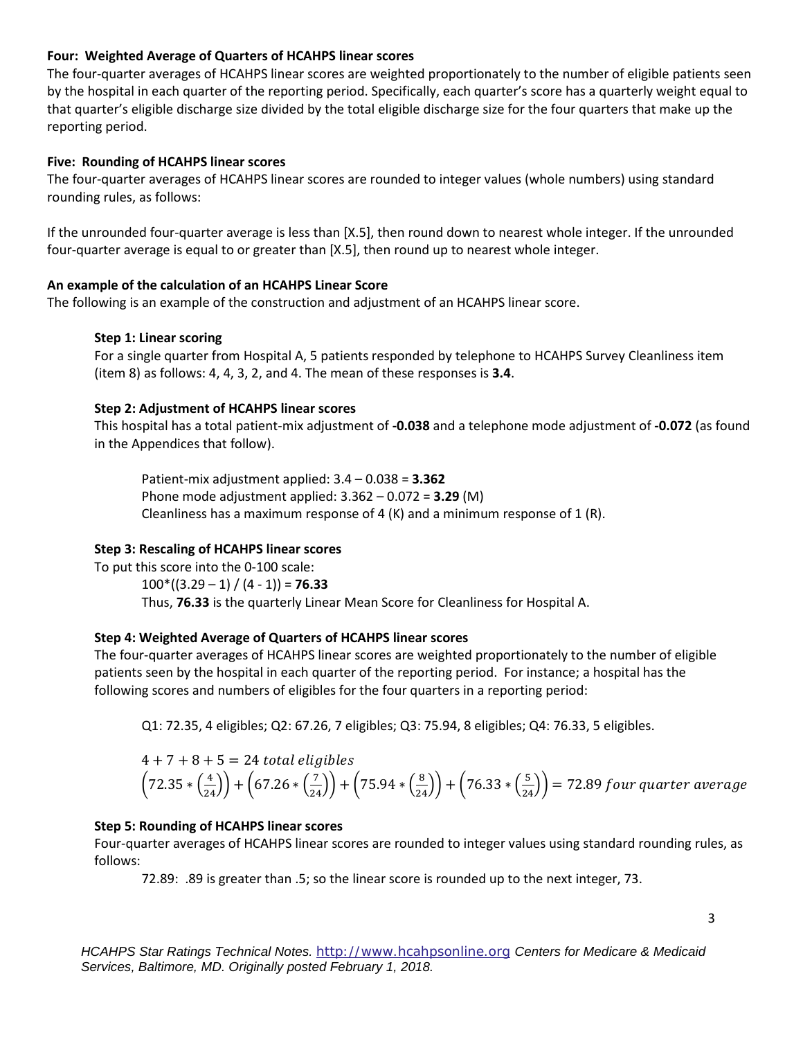### **Four: Weighted Average of Quarters of HCAHPS linear scores**

The four-quarter averages of HCAHPS linear scores are weighted proportionately to the number of eligible patients seen by the hospital in each quarter of the reporting period. Specifically, each quarter's score has a quarterly weight equal to that quarter's eligible discharge size divided by the total eligible discharge size for the four quarters that make up the reporting period.

### **Five: Rounding of HCAHPS linear scores**

The four-quarter averages of HCAHPS linear scores are rounded to integer values (whole numbers) using standard rounding rules, as follows:

If the unrounded four-quarter average is less than [X.5], then round down to nearest whole integer. If the unrounded four-quarter average is equal to or greater than [X.5], then round up to nearest whole integer.

### **An example of the calculation of an HCAHPS Linear Score**

The following is an example of the construction and adjustment of an HCAHPS linear score.

### **Step 1: Linear scoring**

For a single quarter from Hospital A, 5 patients responded by telephone to HCAHPS Survey Cleanliness item (item 8) as follows: 4, 4, 3, 2, and 4. The mean of these responses is **3.4**.

### **Step 2: Adjustment of HCAHPS linear scores**

This hospital has a total patient-mix adjustment of **-0.038** and a telephone mode adjustment of **-0.072** (as found in the Appendices that follow).

Patient-mix adjustment applied: 3.4 – 0.038 = **3.362** Phone mode adjustment applied: 3.362 – 0.072 = **3.29** (M) Cleanliness has a maximum response of 4 (K) and a minimum response of 1 (R).

### **Step 3: Rescaling of HCAHPS linear scores**

To put this score into the 0-100 scale:  $100*(3.29 - 1) / (4 - 1) = 76.33$ Thus, **76.33** is the quarterly Linear Mean Score for Cleanliness for Hospital A.

#### **Step 4: Weighted Average of Quarters of HCAHPS linear scores**

The four-quarter averages of HCAHPS linear scores are weighted proportionately to the number of eligible patients seen by the hospital in each quarter of the reporting period. For instance; a hospital has the following scores and numbers of eligibles for the four quarters in a reporting period:

Q1: 72.35, 4 eligibles; Q2: 67.26, 7 eligibles; Q3: 75.94, 8 eligibles; Q4: 76.33, 5 eligibles.

$$
4 + 7 + 8 + 5 = 24
$$
 total eligibles  
\n $(72.35 * (\frac{4}{24})) + (67.26 * (\frac{7}{24})) + (75.94 * (\frac{8}{24})) + (76.33 * (\frac{5}{24})) = 72.89$  four quarter average

#### **Step 5: Rounding of HCAHPS linear scores**

Four-quarter averages of HCAHPS linear scores are rounded to integer values using standard rounding rules, as follows:

72.89: .89 is greater than .5; so the linear score is rounded up to the next integer, 73.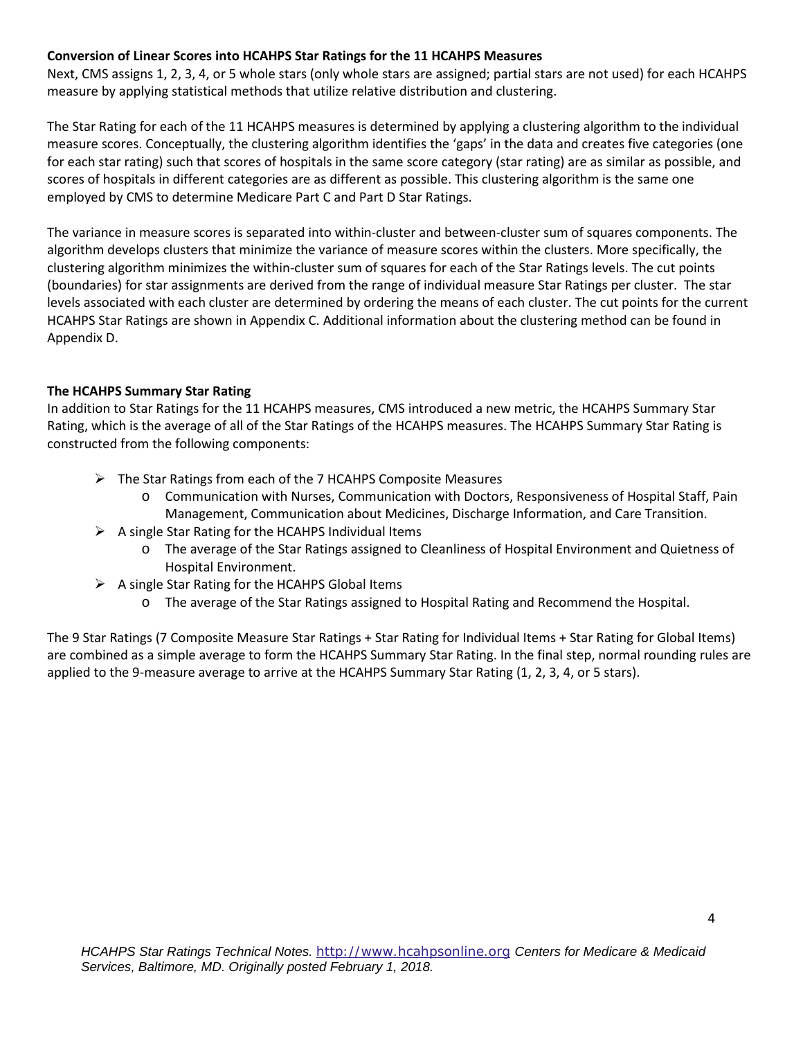### **Conversion of Linear Scores into HCAHPS Star Ratings for the 11 HCAHPS Measures**

Next, CMS assigns 1, 2, 3, 4, or 5 whole stars (only whole stars are assigned; partial stars are not used) for each HCAHPS measure by applying statistical methods that utilize relative distribution and clustering.

The Star Rating for each of the 11 HCAHPS measures is determined by applying a clustering algorithm to the individual measure scores. Conceptually, the clustering algorithm identifies the 'gaps' in the data and creates five categories (one for each star rating) such that scores of hospitals in the same score category (star rating) are as similar as possible, and scores of hospitals in different categories are as different as possible. This clustering algorithm is the same one employed by CMS to determine Medicare Part C and Part D Star Ratings.

The variance in measure scores is separated into within-cluster and between-cluster sum of squares components. The algorithm develops clusters that minimize the variance of measure scores within the clusters. More specifically, the clustering algorithm minimizes the within-cluster sum of squares for each of the Star Ratings levels. The cut points (boundaries) for star assignments are derived from the range of individual measure Star Ratings per cluster. The star levels associated with each cluster are determined by ordering the means of each cluster. The cut points for the current HCAHPS Star Ratings are shown in Appendix C. Additional information about the clustering method can be found in Appendix D.

### **The HCAHPS Summary Star Rating**

In addition to Star Ratings for the 11 HCAHPS measures, CMS introduced a new metric, the HCAHPS Summary Star Rating, which is the average of all of the Star Ratings of the HCAHPS measures. The HCAHPS Summary Star Rating is constructed from the following components:

- $\triangleright$  The Star Ratings from each of the 7 HCAHPS Composite Measures
	- o Communication with Nurses, Communication with Doctors, Responsiveness of Hospital Staff, Pain Management, Communication about Medicines, Discharge Information, and Care Transition.
- $\triangleright$  A single Star Rating for the HCAHPS Individual Items
	- o The average of the Star Ratings assigned to Cleanliness of Hospital Environment and Quietness of Hospital Environment.
- $\triangleright$  A single Star Rating for the HCAHPS Global Items
	- o The average of the Star Ratings assigned to Hospital Rating and Recommend the Hospital.

The 9 Star Ratings (7 Composite Measure Star Ratings + Star Rating for Individual Items + Star Rating for Global Items) are combined as a simple average to form the HCAHPS Summary Star Rating. In the final step, normal rounding rules are applied to the 9-measure average to arrive at the HCAHPS Summary Star Rating (1, 2, 3, 4, or 5 stars).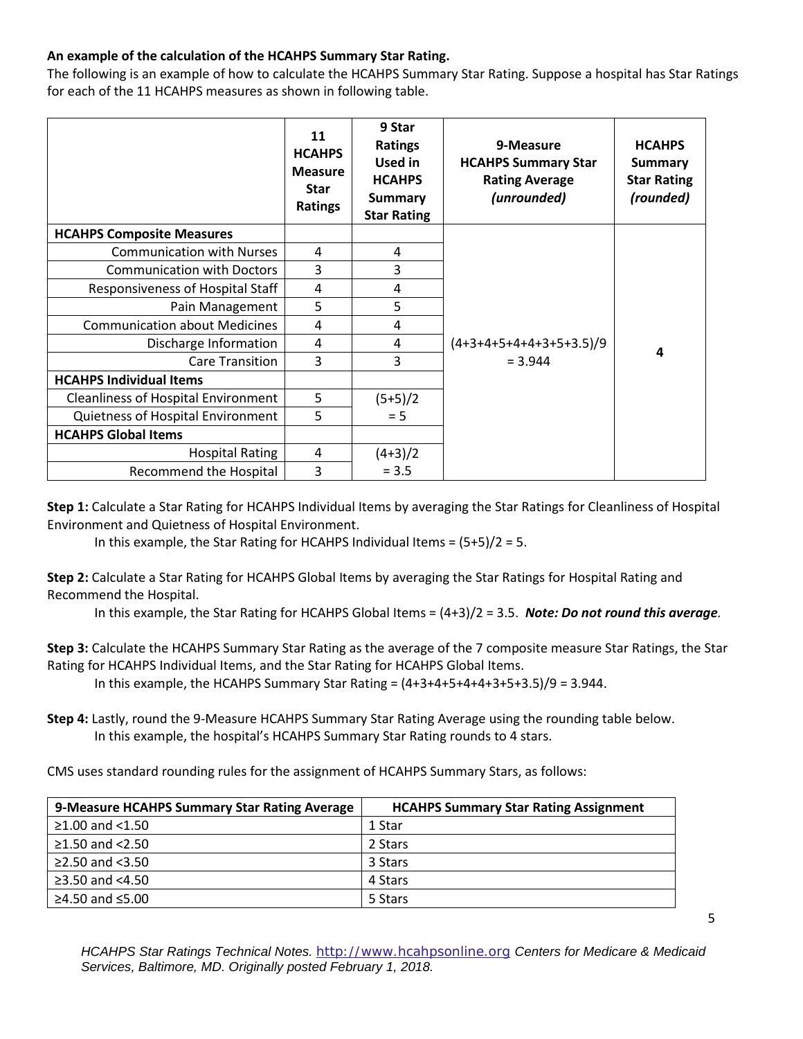### **An example of the calculation of the HCAHPS Summary Star Rating.**

The following is an example of how to calculate the HCAHPS Summary Star Rating. Suppose a hospital has Star Ratings for each of the 11 HCAHPS measures as shown in following table.

|                                            | 11<br><b>HCAHPS</b><br><b>Measure</b><br><b>Star</b><br>Ratings | 9 Star<br><b>Ratings</b><br>Used in<br><b>HCAHPS</b><br><b>Summary</b><br><b>Star Rating</b> | 9-Measure<br><b>HCAHPS Summary Star</b><br><b>Rating Average</b><br>(unrounded) | <b>HCAHPS</b><br><b>Summary</b><br><b>Star Rating</b><br>(rounded) |
|--------------------------------------------|-----------------------------------------------------------------|----------------------------------------------------------------------------------------------|---------------------------------------------------------------------------------|--------------------------------------------------------------------|
| <b>HCAHPS Composite Measures</b>           |                                                                 |                                                                                              |                                                                                 |                                                                    |
| <b>Communication with Nurses</b>           | 4                                                               | 4                                                                                            |                                                                                 |                                                                    |
| <b>Communication with Doctors</b>          | 3                                                               | 3                                                                                            |                                                                                 |                                                                    |
| Responsiveness of Hospital Staff           | $\overline{4}$                                                  | 4                                                                                            |                                                                                 |                                                                    |
| Pain Management                            | 5                                                               | 5                                                                                            |                                                                                 |                                                                    |
| <b>Communication about Medicines</b>       | 4                                                               | 4                                                                                            |                                                                                 |                                                                    |
| Discharge Information                      | 4                                                               | 4                                                                                            | $(4+3+4+5+4+4+3+5+3.5)/9$                                                       | 4                                                                  |
| <b>Care Transition</b>                     | 3                                                               | 3                                                                                            | $= 3.944$                                                                       |                                                                    |
| <b>HCAHPS Individual Items</b>             |                                                                 |                                                                                              |                                                                                 |                                                                    |
| <b>Cleanliness of Hospital Environment</b> | 5                                                               | $(5+5)/2$                                                                                    |                                                                                 |                                                                    |
| Quietness of Hospital Environment          | 5                                                               | $= 5$                                                                                        |                                                                                 |                                                                    |
| <b>HCAHPS Global Items</b>                 |                                                                 |                                                                                              |                                                                                 |                                                                    |
| <b>Hospital Rating</b>                     | 4                                                               | $(4+3)/2$                                                                                    |                                                                                 |                                                                    |
| Recommend the Hospital                     | 3                                                               | $= 3.5$                                                                                      |                                                                                 |                                                                    |

**Step 1:** Calculate a Star Rating for HCAHPS Individual Items by averaging the Star Ratings for Cleanliness of Hospital Environment and Quietness of Hospital Environment.

In this example, the Star Rating for HCAHPS Individual Items =  $(5+5)/2 = 5$ .

**Step 2:** Calculate a Star Rating for HCAHPS Global Items by averaging the Star Ratings for Hospital Rating and Recommend the Hospital.

In this example, the Star Rating for HCAHPS Global Items = (4+3)/2 = 3.5. *Note: Do not round this average.*

**Step 3:** Calculate the HCAHPS Summary Star Rating as the average of the 7 composite measure Star Ratings, the Star Rating for HCAHPS Individual Items, and the Star Rating for HCAHPS Global Items.

In this example, the HCAHPS Summary Star Rating =  $(4+3+4+5+4+4+3+5+3.5)/9 = 3.944$ .

**Step 4:** Lastly, round the 9-Measure HCAHPS Summary Star Rating Average using the rounding table below. In this example, the hospital's HCAHPS Summary Star Rating rounds to 4 stars.

CMS uses standard rounding rules for the assignment of HCAHPS Summary Stars, as follows:

| 9-Measure HCAHPS Summary Star Rating Average | <b>HCAHPS Summary Star Rating Assignment</b> |
|----------------------------------------------|----------------------------------------------|
| ≥1.00 and $<$ 1.50                           | 1 Star                                       |
| $≥1.50$ and $<2.50$                          | 2 Stars                                      |
| $\geq$ 2.50 and <3.50                        | 3 Stars                                      |
| ≥3.50 and $<4.50$                            | 4 Stars                                      |
| ≥4.50 and $≤5.00$                            | 5 Stars                                      |

*HCAHPS Star Ratings Technical Notes.* [http://www.hcahpsonline.org](http://www.hcahpsonline.org/) *Centers for Medicare & Medicaid Services, Baltimore, MD. Originally posted February 1, 2018.*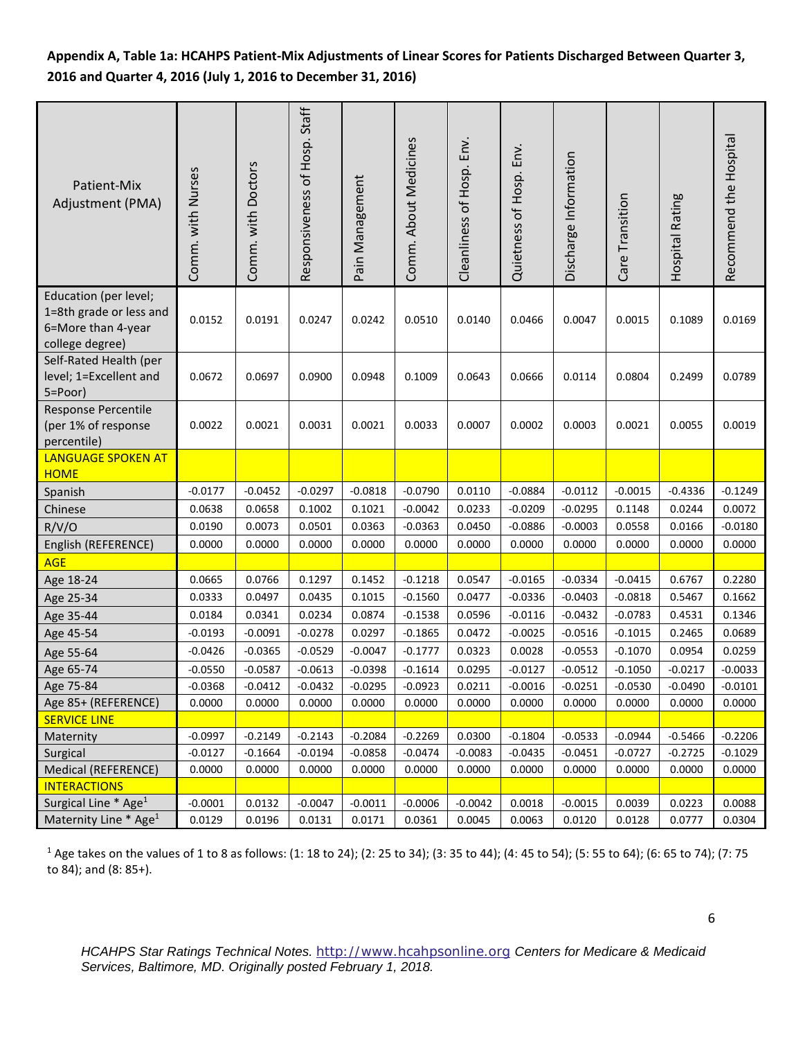# **Appendix A, Table 1a: HCAHPS Patient-Mix Adjustments of Linear Scores for Patients Discharged Between Quarter 3, 2016 and Quarter 4, 2016 (July 1, 2016 to December 31, 2016)**

| Patient-Mix<br>Adjustment (PMA)                                                           | Comm. with Nurses | Comm. with Doctors | Responsiveness of Hosp. Staff | Pain Management | Comm. About Medicines | Cleanliness of Hosp. Env. | Quietness of Hosp. Env. | Discharge Information | Care Transition | Hospital Rating | Recommend the Hospital |
|-------------------------------------------------------------------------------------------|-------------------|--------------------|-------------------------------|-----------------|-----------------------|---------------------------|-------------------------|-----------------------|-----------------|-----------------|------------------------|
| Education (per level;<br>1=8th grade or less and<br>6=More than 4-year<br>college degree) | 0.0152            | 0.0191             | 0.0247                        | 0.0242          | 0.0510                | 0.0140                    | 0.0466                  | 0.0047                | 0.0015          | 0.1089          | 0.0169                 |
| Self-Rated Health (per<br>level; 1=Excellent and<br>5=Poor)                               | 0.0672            | 0.0697             | 0.0900                        | 0.0948          | 0.1009                | 0.0643                    | 0.0666                  | 0.0114                | 0.0804          | 0.2499          | 0.0789                 |
| Response Percentile<br>(per 1% of response<br>percentile)                                 | 0.0022            | 0.0021             | 0.0031                        | 0.0021          | 0.0033                | 0.0007                    | 0.0002                  | 0.0003                | 0.0021          | 0.0055          | 0.0019                 |
| <b>LANGUAGE SPOKEN AT</b><br><b>HOME</b>                                                  |                   |                    |                               |                 |                       |                           |                         |                       |                 |                 |                        |
| Spanish                                                                                   | $-0.0177$         | $-0.0452$          | $-0.0297$                     | $-0.0818$       | $-0.0790$             | 0.0110                    | $-0.0884$               | $-0.0112$             | $-0.0015$       | $-0.4336$       | $-0.1249$              |
| Chinese                                                                                   | 0.0638            | 0.0658             | 0.1002                        | 0.1021          | $-0.0042$             | 0.0233                    | $-0.0209$               | $-0.0295$             | 0.1148          | 0.0244          | 0.0072                 |
| R/V/O                                                                                     | 0.0190            | 0.0073             | 0.0501                        | 0.0363          | $-0.0363$             | 0.0450                    | $-0.0886$               | $-0.0003$             | 0.0558          | 0.0166          | $-0.0180$              |
| English (REFERENCE)                                                                       | 0.0000            | 0.0000             | 0.0000                        | 0.0000          | 0.0000                | 0.0000                    | 0.0000                  | 0.0000                | 0.0000          | 0.0000          | 0.0000                 |
| <b>AGE</b>                                                                                |                   |                    |                               |                 |                       |                           |                         |                       |                 |                 |                        |
| Age 18-24                                                                                 | 0.0665            | 0.0766             | 0.1297                        | 0.1452          | $-0.1218$             | 0.0547                    | $-0.0165$               | $-0.0334$             | $-0.0415$       | 0.6767          | 0.2280                 |
| Age 25-34                                                                                 | 0.0333            | 0.0497             | 0.0435                        | 0.1015          | $-0.1560$             | 0.0477                    | $-0.0336$               | $-0.0403$             | $-0.0818$       | 0.5467          | 0.1662                 |
| Age 35-44                                                                                 | 0.0184            | 0.0341             | 0.0234                        | 0.0874          | $-0.1538$             | 0.0596                    | $-0.0116$               | $-0.0432$             | $-0.0783$       | 0.4531          | 0.1346                 |
| Age 45-54                                                                                 | $-0.0193$         | $-0.0091$          | $-0.0278$                     | 0.0297          | $-0.1865$             | 0.0472                    | $-0.0025$               | $-0.0516$             | $-0.1015$       | 0.2465          | 0.0689                 |
| Age 55-64                                                                                 | $-0.0426$         | $-0.0365$          | $-0.0529$                     | $-0.0047$       | $-0.1777$             | 0.0323                    | 0.0028                  | $-0.0553$             | $-0.1070$       | 0.0954          | 0.0259                 |
| Age 65-74                                                                                 | $-0.0550$         | $-0.0587$          | $-0.0613$                     | $-0.0398$       | $-0.1614$             | 0.0295                    | $-0.0127$               | $-0.0512$             | $-0.1050$       | $-0.0217$       | $-0.0033$              |
| Age 75-84                                                                                 | $-0.0368$         | $-0.0412$          | $-0.0432$                     | $-0.0295$       | $-0.0923$             | 0.0211                    | $-0.0016$               | $-0.0251$             | $-0.0530$       | $-0.0490$       | $-0.0101$              |
| Age 85+ (REFERENCE)                                                                       | 0.0000            | 0.0000             | 0.0000                        | 0.0000          | 0.0000                | 0.0000                    | 0.0000                  | 0.0000                | 0.0000          | 0.0000          | 0.0000                 |
| <b>SERVICE LINE</b>                                                                       |                   |                    |                               |                 |                       |                           |                         |                       |                 |                 |                        |
| Maternity                                                                                 | $-0.0997$         | $-0.2149$          | $-0.2143$                     | $-0.2084$       | $-0.2269$             | 0.0300                    | $-0.1804$               | $-0.0533$             | $-0.0944$       | $-0.5466$       | $-0.2206$              |
| Surgical                                                                                  | $-0.0127$         | $-0.1664$          | $-0.0194$                     | $-0.0858$       | $-0.0474$             | $-0.0083$                 | $-0.0435$               | $-0.0451$             | $-0.0727$       | $-0.2725$       | $-0.1029$              |
| Medical (REFERENCE)                                                                       | 0.0000            | 0.0000             | 0.0000                        | 0.0000          | 0.0000                | 0.0000                    | 0.0000                  | 0.0000                | 0.0000          | 0.0000          | 0.0000                 |
| <b>INTERACTIONS</b>                                                                       |                   |                    |                               |                 |                       |                           |                         |                       |                 |                 |                        |
| Surgical Line * Age <sup>1</sup>                                                          | $-0.0001$         | 0.0132             | $-0.0047$                     | $-0.0011$       | $-0.0006$             | $-0.0042$                 | 0.0018                  | $-0.0015$             | 0.0039          | 0.0223          | 0.0088                 |
| Maternity Line * Age <sup>1</sup>                                                         | 0.0129            | 0.0196             | 0.0131                        | 0.0171          | 0.0361                | 0.0045                    | 0.0063                  | 0.0120                | 0.0128          | 0.0777          | 0.0304                 |

<sup>1</sup> Age takes on the values of 1 to 8 as follows: (1: 18 to 24); (2: 25 to 34); (3: 35 to 44); (4: 45 to 54); (5: 55 to 64); (6: 65 to 74); (7: 75 to 84); and (8: 85+).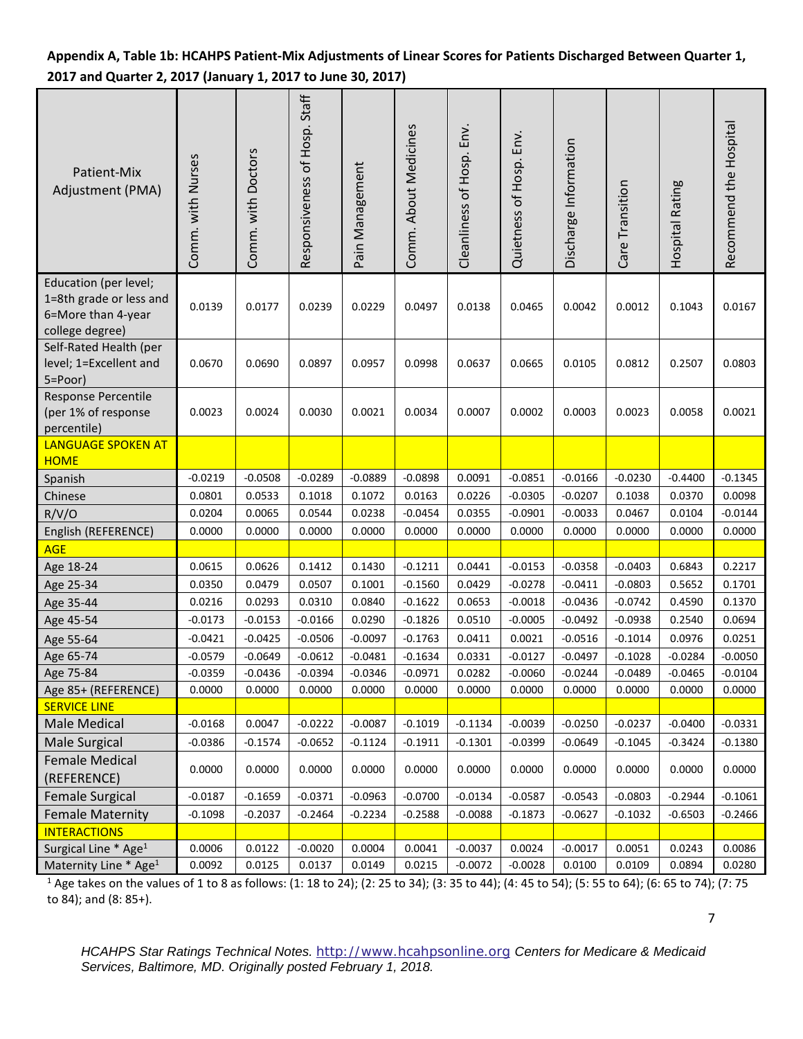# **Appendix A, Table 1b: HCAHPS Patient-Mix Adjustments of Linear Scores for Patients Discharged Between Quarter 1, 2017 and Quarter 2, 2017 (January 1, 2017 to June 30, 2017)**

| Patient-Mix<br>Adjustment (PMA)                                                           | Comm. with Nurses | Comm. with Doctors | Responsiveness of Hosp. Staff | Pain Management  | Comm. About Medicines  | Cleanliness of Hosp. Env. | Quietness of Hosp. Env. | Discharge Information  | Care Transition        | Hospital Rating  | Recommend the Hospital |
|-------------------------------------------------------------------------------------------|-------------------|--------------------|-------------------------------|------------------|------------------------|---------------------------|-------------------------|------------------------|------------------------|------------------|------------------------|
| Education (per level;<br>1=8th grade or less and<br>6=More than 4-year<br>college degree) | 0.0139            | 0.0177             | 0.0239                        | 0.0229           | 0.0497                 | 0.0138                    | 0.0465                  | 0.0042                 | 0.0012                 | 0.1043           | 0.0167                 |
| Self-Rated Health (per<br>level; 1=Excellent and<br>5=Poor)                               | 0.0670            | 0.0690             | 0.0897                        | 0.0957           | 0.0998                 | 0.0637                    | 0.0665                  | 0.0105                 | 0.0812                 | 0.2507           | 0.0803                 |
| Response Percentile<br>(per 1% of response<br>percentile)                                 | 0.0023            | 0.0024             | 0.0030                        | 0.0021           | 0.0034                 | 0.0007                    | 0.0002                  | 0.0003                 | 0.0023                 | 0.0058           | 0.0021                 |
| <b>LANGUAGE SPOKEN AT</b>                                                                 |                   |                    |                               |                  |                        |                           |                         |                        |                        |                  |                        |
| <b>HOME</b>                                                                               |                   |                    |                               |                  |                        |                           |                         |                        |                        |                  |                        |
| Spanish                                                                                   | $-0.0219$         | $-0.0508$          | $-0.0289$                     | $-0.0889$        | $-0.0898$              | 0.0091                    | $-0.0851$               | $-0.0166$              | $-0.0230$              | $-0.4400$        | $-0.1345$              |
| Chinese                                                                                   | 0.0801            | 0.0533             | 0.1018                        | 0.1072           | 0.0163                 | 0.0226                    | $-0.0305$               | $-0.0207$              | 0.1038                 | 0.0370           | 0.0098                 |
| R/V/O                                                                                     | 0.0204            | 0.0065             | 0.0544                        | 0.0238           | $-0.0454$              | 0.0355                    | $-0.0901$               | $-0.0033$              | 0.0467                 | 0.0104           | $-0.0144$              |
| English (REFERENCE)                                                                       | 0.0000            | 0.0000             | 0.0000                        | 0.0000           | 0.0000                 | 0.0000                    | 0.0000                  | 0.0000                 | 0.0000                 | 0.0000           | 0.0000                 |
| <b>AGE</b>                                                                                |                   |                    |                               |                  |                        |                           |                         |                        |                        |                  |                        |
| Age 18-24                                                                                 | 0.0615            | 0.0626             | 0.1412                        | 0.1430           | $-0.1211$              | 0.0441                    | $-0.0153$               | $-0.0358$              | $-0.0403$              | 0.6843           | 0.2217                 |
| Age 25-34                                                                                 | 0.0350<br>0.0216  | 0.0479<br>0.0293   | 0.0507<br>0.0310              | 0.1001<br>0.0840 | $-0.1560$<br>$-0.1622$ | 0.0429<br>0.0653          | $-0.0278$<br>$-0.0018$  | $-0.0411$<br>$-0.0436$ | $-0.0803$<br>$-0.0742$ | 0.5652<br>0.4590 | 0.1701<br>0.1370       |
| Age 35-44                                                                                 | $-0.0173$         | $-0.0153$          | $-0.0166$                     | 0.0290           | $-0.1826$              | 0.0510                    | $-0.0005$               | $-0.0492$              | $-0.0938$              | 0.2540           | 0.0694                 |
| Age 45-54                                                                                 | $-0.0421$         | $-0.0425$          | $-0.0506$                     | $-0.0097$        | $-0.1763$              | 0.0411                    | 0.0021                  | $-0.0516$              | $-0.1014$              | 0.0976           | 0.0251                 |
| Age 55-64<br>Age 65-74                                                                    | $-0.0579$         | $-0.0649$          | $-0.0612$                     | $-0.0481$        | $-0.1634$              | 0.0331                    | $-0.0127$               | $-0.0497$              | $-0.1028$              | $-0.0284$        | $-0.0050$              |
| Age 75-84                                                                                 | $-0.0359$         | $-0.0436$          | $-0.0394$                     | $-0.0346$        | $-0.0971$              | 0.0282                    | $-0.0060$               | $-0.0244$              | $-0.0489$              | $-0.0465$        | $-0.0104$              |
| Age 85+ (REFERENCE)                                                                       | 0.0000            | 0.0000             | 0.0000                        | 0.0000           | 0.0000                 | 0.0000                    | 0.0000                  | 0.0000                 | 0.0000                 | 0.0000           | 0.0000                 |
| <b>SERVICE LINE</b>                                                                       |                   |                    |                               |                  |                        |                           |                         |                        |                        |                  |                        |
| Male Medical                                                                              | $-0.0168$         | 0.0047             | $-0.0222$                     | $-0.0087$        | $-0.1019$              | $-0.1134$                 | $-0.0039$               | $-0.0250$              | $-0.0237$              | $-0.0400$        | $-0.0331$              |
| Male Surgical                                                                             | $-0.0386$         | $-0.1574$          | $-0.0652$                     | $-0.1124$        | $-0.1911$              | $-0.1301$                 | $-0.0399$               | $-0.0649$              | $-0.1045$              | $-0.3424$        | $-0.1380$              |
| <b>Female Medical</b>                                                                     |                   |                    |                               |                  |                        |                           |                         |                        |                        |                  |                        |
| (REFERENCE)                                                                               | 0.0000            | 0.0000             | 0.0000                        | 0.0000           | 0.0000                 | 0.0000                    | 0.0000                  | 0.0000                 | 0.0000                 | 0.0000           | 0.0000                 |
| <b>Female Surgical</b>                                                                    | $-0.0187$         | $-0.1659$          | $-0.0371$                     | $-0.0963$        | $-0.0700$              | $-0.0134$                 | $-0.0587$               | $-0.0543$              | $-0.0803$              | $-0.2944$        | $-0.1061$              |
| <b>Female Maternity</b>                                                                   | $-0.1098$         | $-0.2037$          | $-0.2464$                     | $-0.2234$        | $-0.2588$              | $-0.0088$                 | $-0.1873$               | $-0.0627$              | $-0.1032$              | $-0.6503$        | $-0.2466$              |
| <b>INTERACTIONS</b>                                                                       |                   |                    |                               |                  |                        |                           |                         |                        |                        |                  |                        |
| Surgical Line * Age <sup>1</sup>                                                          | 0.0006            | 0.0122             | $-0.0020$                     | 0.0004           | 0.0041                 | $-0.0037$                 | 0.0024                  | $-0.0017$              | 0.0051                 | 0.0243           | 0.0086                 |
| Maternity Line * Age <sup>1</sup>                                                         | 0.0092            | 0.0125             | 0.0137                        | 0.0149           | 0.0215                 | $-0.0072$                 | $-0.0028$               | 0.0100                 | 0.0109                 | 0.0894           | 0.0280                 |

<sup>1</sup> Age takes on the values of 1 to 8 as follows: (1: 18 to 24); (2: 25 to 34); (3: 35 to 44); (4: 45 to 54); (5: 55 to 64); (6: 65 to 74); (7: 75 to 84); and (8: 85+).

7

*HCAHPS Star Ratings Technical Notes.* [http://www.hcahpsonline.org](http://www.hcahpsonline.org/) *Centers for Medicare & Medicaid Services, Baltimore, MD. Originally posted February 1, 2018.*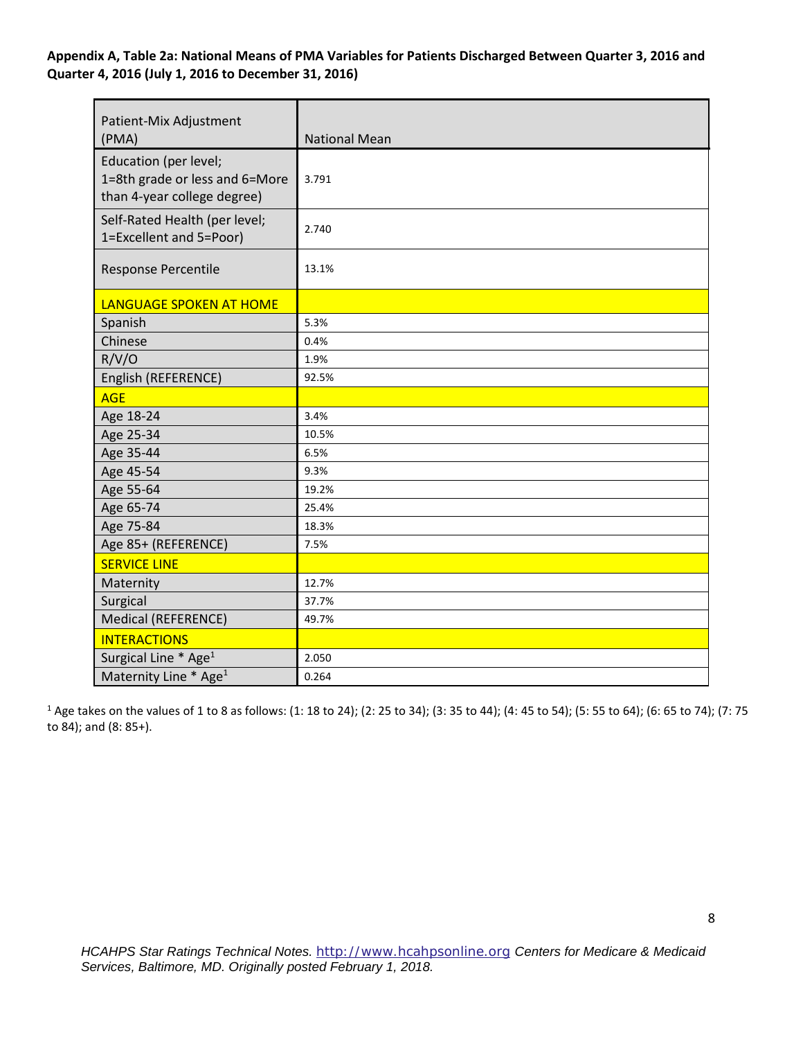**Appendix A, Table 2a: National Means of PMA Variables for Patients Discharged Between Quarter 3, 2016 and Quarter 4, 2016 (July 1, 2016 to December 31, 2016)** 

| Patient-Mix Adjustment<br>(PMA)                                                        | <b>National Mean</b> |
|----------------------------------------------------------------------------------------|----------------------|
| Education (per level;<br>1=8th grade or less and 6=More<br>than 4-year college degree) | 3.791                |
| Self-Rated Health (per level;<br>1=Excellent and 5=Poor)                               | 2.740                |
| Response Percentile                                                                    | 13.1%                |
| <b>LANGUAGE SPOKEN AT HOME</b>                                                         |                      |
| Spanish                                                                                | 5.3%                 |
| Chinese                                                                                | 0.4%                 |
| R/V/O                                                                                  | 1.9%                 |
| English (REFERENCE)                                                                    | 92.5%                |
| <b>AGE</b>                                                                             |                      |
| Age 18-24                                                                              | 3.4%                 |
| Age 25-34                                                                              | 10.5%                |
| Age 35-44                                                                              | 6.5%                 |
| Age 45-54                                                                              | 9.3%                 |
| Age 55-64                                                                              | 19.2%                |
| Age 65-74                                                                              | 25.4%                |
| Age 75-84                                                                              | 18.3%                |
| Age 85+ (REFERENCE)                                                                    | 7.5%                 |
| <b>SERVICE LINE</b>                                                                    |                      |
| Maternity                                                                              | 12.7%                |
| Surgical                                                                               | 37.7%                |
| Medical (REFERENCE)                                                                    | 49.7%                |
| <b>INTERACTIONS</b>                                                                    |                      |
| Surgical Line * Age <sup>1</sup>                                                       | 2.050                |
| Maternity Line * Age <sup>1</sup>                                                      | 0.264                |

<sup>1</sup> Age takes on the values of 1 to 8 as follows: (1: 18 to 24); (2: 25 to 34); (3: 35 to 44); (4: 45 to 54); (5: 55 to 64); (6: 65 to 74); (7: 75 to 84); and (8: 85+).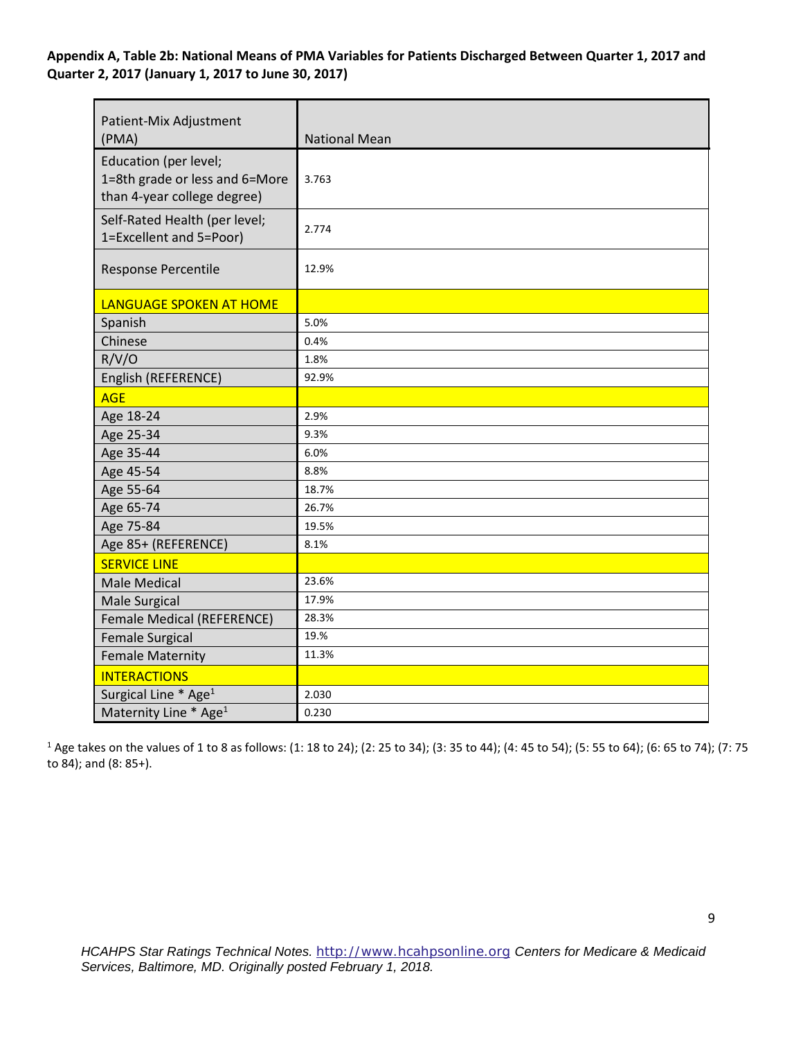### **Appendix A, Table 2b: National Means of PMA Variables for Patients Discharged Between Quarter 1, 2017 and Quarter 2, 2017 (January 1, 2017 to June 30, 2017)**

| Patient-Mix Adjustment<br>(PMA)                                                        | <b>National Mean</b> |
|----------------------------------------------------------------------------------------|----------------------|
| Education (per level;<br>1=8th grade or less and 6=More<br>than 4-year college degree) | 3.763                |
| Self-Rated Health (per level;<br>1=Excellent and 5=Poor)                               | 2.774                |
| Response Percentile                                                                    | 12.9%                |
| LANGUAGE SPOKEN AT HOME                                                                |                      |
| Spanish                                                                                | 5.0%                 |
| Chinese                                                                                | 0.4%                 |
| R/V/O                                                                                  | 1.8%                 |
| English (REFERENCE)                                                                    | 92.9%                |
| <b>AGE</b>                                                                             |                      |
| Age 18-24                                                                              | 2.9%                 |
| Age 25-34                                                                              | 9.3%                 |
| Age 35-44                                                                              | 6.0%                 |
| Age 45-54                                                                              | 8.8%                 |
| Age 55-64                                                                              | 18.7%                |
| Age 65-74                                                                              | 26.7%                |
| Age 75-84                                                                              | 19.5%                |
| Age 85+ (REFERENCE)                                                                    | 8.1%                 |
| <b>SERVICE LINE</b>                                                                    |                      |
| <b>Male Medical</b>                                                                    | 23.6%                |
| Male Surgical                                                                          | 17.9%                |
| Female Medical (REFERENCE)                                                             | 28.3%                |
| <b>Female Surgical</b>                                                                 | 19.%                 |
| <b>Female Maternity</b>                                                                | 11.3%                |
| <b>INTERACTIONS</b>                                                                    |                      |
| Surgical Line * Age <sup>1</sup>                                                       | 2.030                |
| Maternity Line * Age <sup>1</sup>                                                      | 0.230                |

<sup>1</sup> Age takes on the values of 1 to 8 as follows: (1: 18 to 24); (2: 25 to 34); (3: 35 to 44); (4: 45 to 54); (5: 55 to 64); (6: 65 to 74); (7: 75 to 84); and (8: 85+).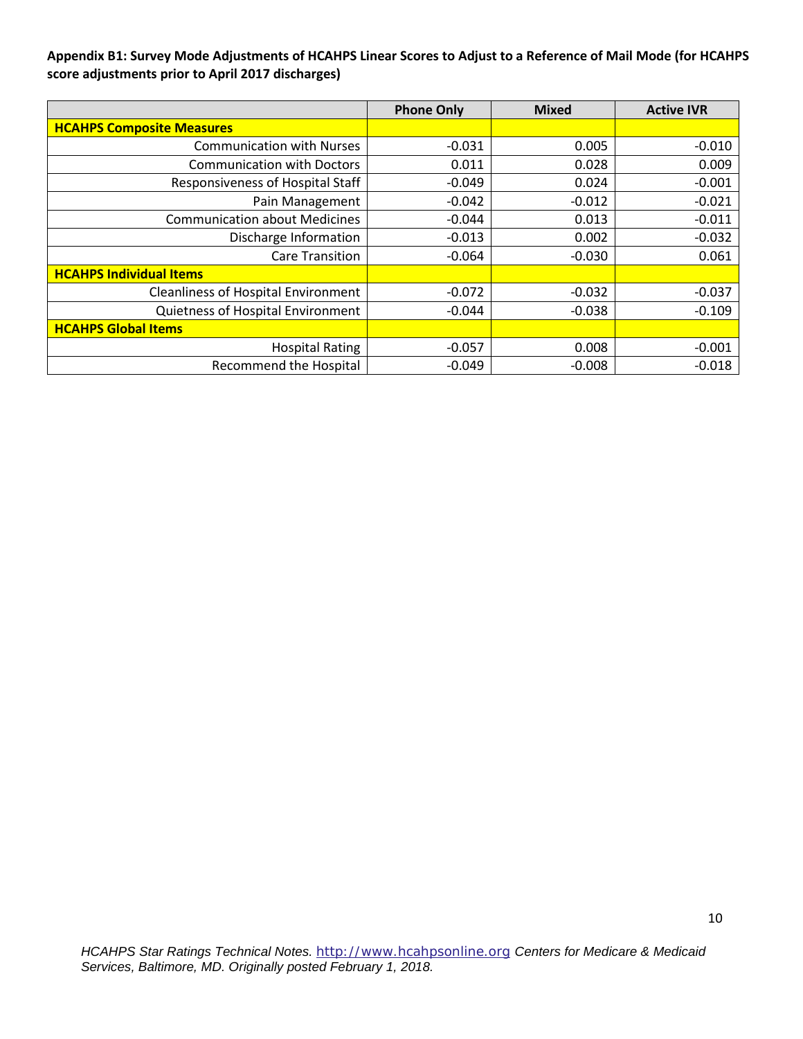### **Appendix B1: Survey Mode Adjustments of HCAHPS Linear Scores to Adjust to a Reference of Mail Mode (for HCAHPS score adjustments prior to April 2017 discharges)**

|                                            | <b>Phone Only</b> | <b>Mixed</b> | <b>Active IVR</b> |
|--------------------------------------------|-------------------|--------------|-------------------|
| <b>HCAHPS Composite Measures</b>           |                   |              |                   |
| <b>Communication with Nurses</b>           | $-0.031$          | 0.005        | $-0.010$          |
| <b>Communication with Doctors</b>          | 0.011             | 0.028        | 0.009             |
| Responsiveness of Hospital Staff           | $-0.049$          | 0.024        | $-0.001$          |
| Pain Management                            | $-0.042$          | $-0.012$     | $-0.021$          |
| <b>Communication about Medicines</b>       | $-0.044$          | 0.013        | $-0.011$          |
| Discharge Information                      | $-0.013$          | 0.002        | $-0.032$          |
| <b>Care Transition</b>                     | $-0.064$          | $-0.030$     | 0.061             |
| <b>HCAHPS Individual Items</b>             |                   |              |                   |
| <b>Cleanliness of Hospital Environment</b> | $-0.072$          | $-0.032$     | $-0.037$          |
| Quietness of Hospital Environment          | $-0.044$          | $-0.038$     | $-0.109$          |
| <b>HCAHPS Global Items</b>                 |                   |              |                   |
| <b>Hospital Rating</b>                     | $-0.057$          | 0.008        | $-0.001$          |
| <b>Recommend the Hospital</b>              | $-0.049$          | $-0.008$     | $-0.018$          |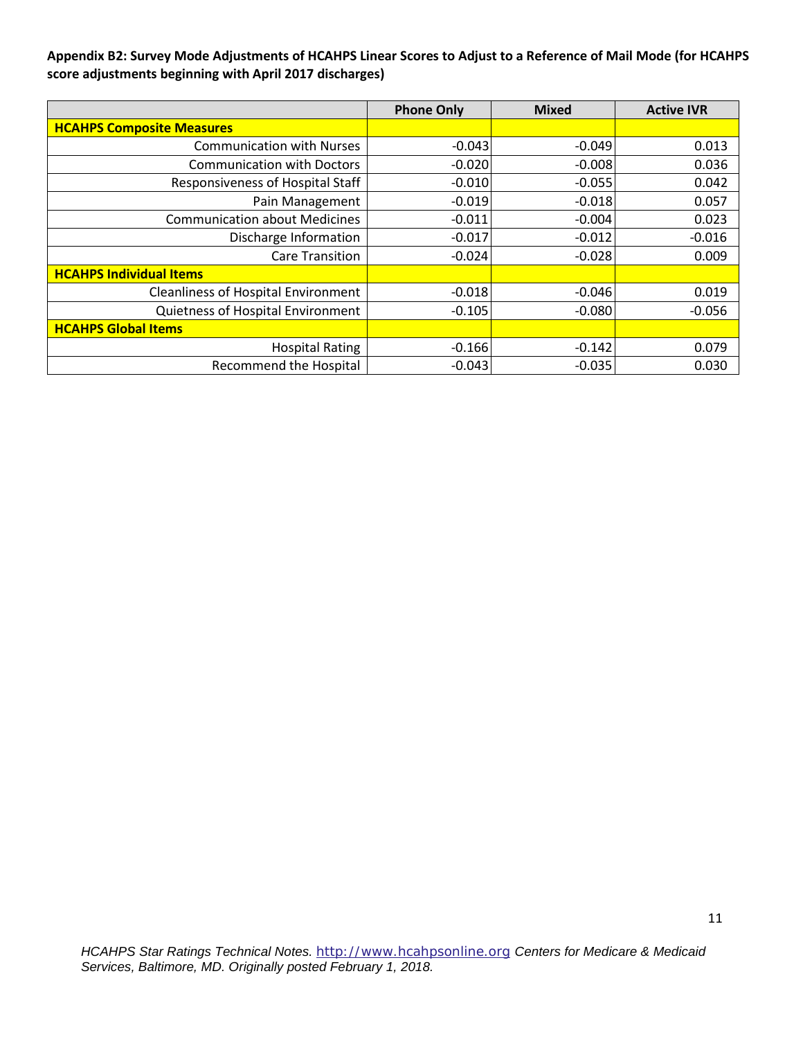**Appendix B2: Survey Mode Adjustments of HCAHPS Linear Scores to Adjust to a Reference of Mail Mode (for HCAHPS score adjustments beginning with April 2017 discharges)** 

|                                            | <b>Phone Only</b> | <b>Mixed</b> | <b>Active IVR</b> |
|--------------------------------------------|-------------------|--------------|-------------------|
| <b>HCAHPS Composite Measures</b>           |                   |              |                   |
| <b>Communication with Nurses</b>           | $-0.043$          | $-0.049$     | 0.013             |
| <b>Communication with Doctors</b>          | $-0.020$          | $-0.008$     | 0.036             |
| <b>Responsiveness of Hospital Staff</b>    | $-0.010$          | $-0.055$     | 0.042             |
| Pain Management                            | $-0.019$          | $-0.018$     | 0.057             |
| <b>Communication about Medicines</b>       | $-0.011$          | $-0.004$     | 0.023             |
| Discharge Information                      | $-0.017$          | $-0.012$     | $-0.016$          |
| <b>Care Transition</b>                     | $-0.024$          | $-0.028$     | 0.009             |
| <b>HCAHPS Individual Items</b>             |                   |              |                   |
| <b>Cleanliness of Hospital Environment</b> | $-0.018$          | $-0.046$     | 0.019             |
| Quietness of Hospital Environment          | $-0.105$          | $-0.080$     | $-0.056$          |
| <b>HCAHPS Global Items</b>                 |                   |              |                   |
| <b>Hospital Rating</b>                     | $-0.166$          | $-0.142$     | 0.079             |
| <b>Recommend the Hospital</b>              | $-0.043$          | $-0.035$     | 0.030             |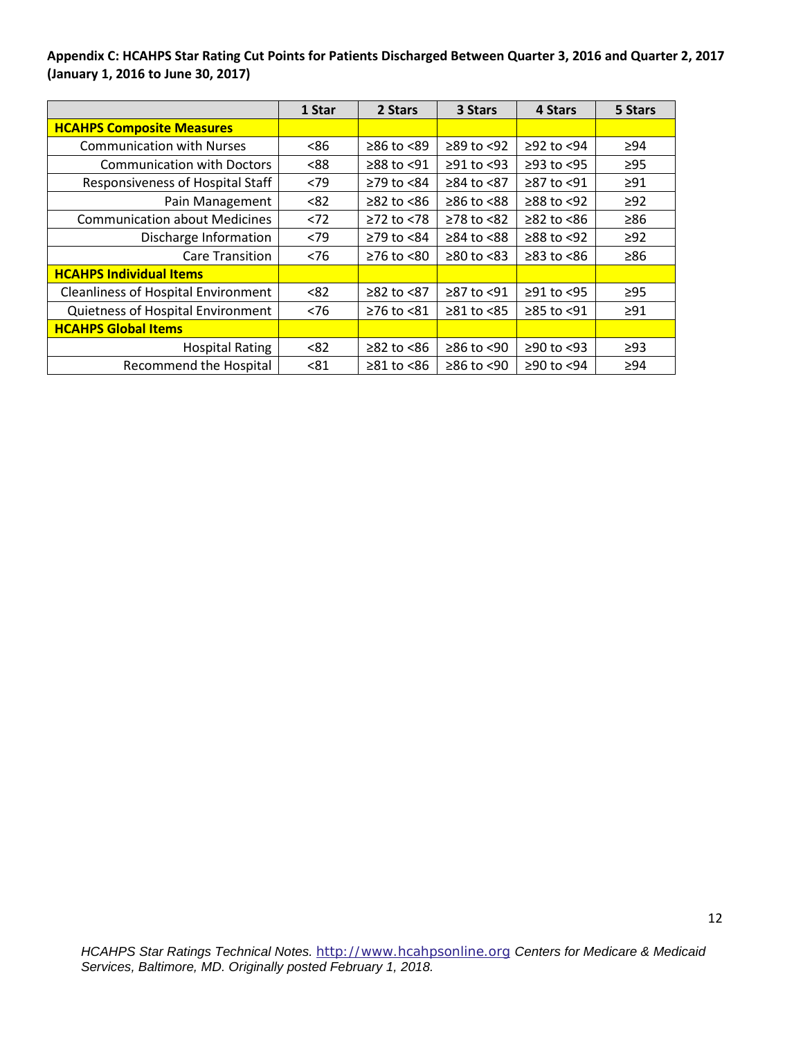**Appendix C: HCAHPS Star Rating Cut Points for Patients Discharged Between Quarter 3, 2016 and Quarter 2, 2017 (January 1, 2016 to June 30, 2017)** 

|                                            | 1 Star | 2 Stars                | 3 Stars          | 4 Stars          | 5 Stars   |
|--------------------------------------------|--------|------------------------|------------------|------------------|-----------|
| <b>HCAHPS Composite Measures</b>           |        |                        |                  |                  |           |
| <b>Communication with Nurses</b>           | <86    | ≥86 to <89             | $\geq$ 89 to <92 | $≥92$ to <94     | ≥94       |
| <b>Communication with Doctors</b>          | <88    | $\geq$ 88 to <91       | $\geq$ 91 to <93 | $\geq$ 93 to <95 | $\geq$ 95 |
| Responsiveness of Hospital Staff           | < 79   | ≥79 to <84             | ≥84 to <87       | ≥87 to <91       | $\geq$ 91 |
| Pain Management                            | < 82   | $\geq$ 82 to $\leq$ 86 | $≥86$ to $<88$   | $≥88$ to <92     | $\geq$ 92 |
| <b>Communication about Medicines</b>       | < 72   | $≥72$ to <78           | $≥78$ to <82     | $\geq$ 82 to <86 | $\geq 86$ |
| Discharge Information                      | < 79   | $\geq$ 79 to <84       | $≥84$ to $≤88$   | $≥88$ to <92     | $\geq$ 92 |
| <b>Care Transition</b>                     | < 76   | $\geq$ 76 to <80       | $\geq 80$ to <83 | $\geq$ 83 to <86 | ≥86       |
| <b>HCAHPS Individual Items</b>             |        |                        |                  |                  |           |
| <b>Cleanliness of Hospital Environment</b> | < 82   | ≥82 to <87             | ≥87 to <91       | $≥91$ to <95     | $\geq$ 95 |
| Quietness of Hospital Environment          | < 76   | $≥76$ to $≤81$         | $\geq 81$ to <85 | $≥85$ to <91     | $\geq$ 91 |
| <b>HCAHPS Global Items</b>                 |        |                        |                  |                  |           |
| <b>Hospital Rating</b>                     | < 82   | $\geq$ 82 to <86       | $≥86$ to <90     | $≥90$ to <93     | $\geq$ 93 |
| <b>Recommend the Hospital</b>              | < 81   | ≥81 to <86             | $≥86$ to <90     | $≥90$ to <94     | >94       |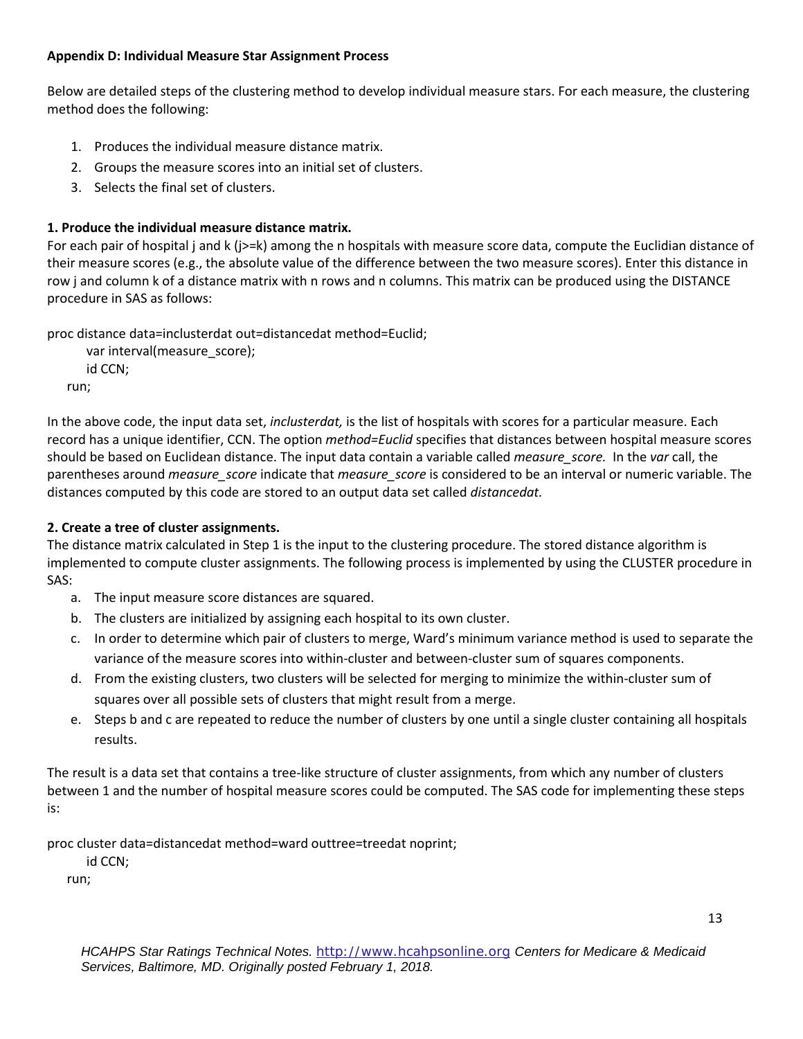### **Appendix D: Individual Measure Star Assignment Process**

Below are detailed steps of the clustering method to develop individual measure stars. For each measure, the clustering method does the following:

- 1. Produces the individual measure distance matrix.
- 2. Groups the measure scores into an initial set of clusters.
- 3. Selects the final set of clusters.

# **1. Produce the individual measure distance matrix.**

For each pair of hospital j and k (j>=k) among the n hospitals with measure score data, compute the Euclidian distance of their measure scores (e.g., the absolute value of the difference between the two measure scores). Enter this distance in row j and column k of a distance matrix with n rows and n columns. This matrix can be produced using the DISTANCE procedure in SAS as follows:

proc distance data=inclusterdat out=distancedat method=Euclid;

```
 var interval(measure_score);
   id CCN;
run;
```
In the above code, the input data set, *inclusterdat,* is the list of hospitals with scores for a particular measure. Each record has a unique identifier, CCN. The option *method=Euclid* specifies that distances between hospital measure scores should be based on Euclidean distance. The input data contain a variable called *measure\_score.* In the *var* call, the parentheses around *measure\_score* indicate that *measure\_score* is considered to be an interval or numeric variable. The distances computed by this code are stored to an output data set called *distancedat.*

# **2. Create a tree of cluster assignments.**

The distance matrix calculated in Step 1 is the input to the clustering procedure. The stored distance algorithm is implemented to compute cluster assignments. The following process is implemented by using the CLUSTER procedure in SAS:

- a. The input measure score distances are squared.
- b. The clusters are initialized by assigning each hospital to its own cluster.
- c. In order to determine which pair of clusters to merge, Ward's minimum variance method is used to separate the variance of the measure scores into within-cluster and between-cluster sum of squares components.
- d. From the existing clusters, two clusters will be selected for merging to minimize the within-cluster sum of squares over all possible sets of clusters that might result from a merge.
- e. Steps b and c are repeated to reduce the number of clusters by one until a single cluster containing all hospitals results.

The result is a data set that contains a tree-like structure of cluster assignments, from which any number of clusters between 1 and the number of hospital measure scores could be computed. The SAS code for implementing these steps is:

proc cluster data=distancedat method=ward outtree=treedat noprint;

id CCN;

run;